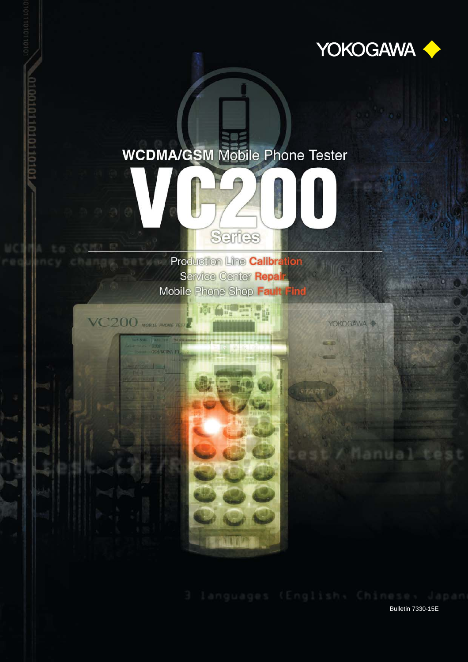

**YOKOGAWA** 

ual Ct

**Bulletin 7330-15E** 

## **WCDMA/GSM Mobile Phone Tester**



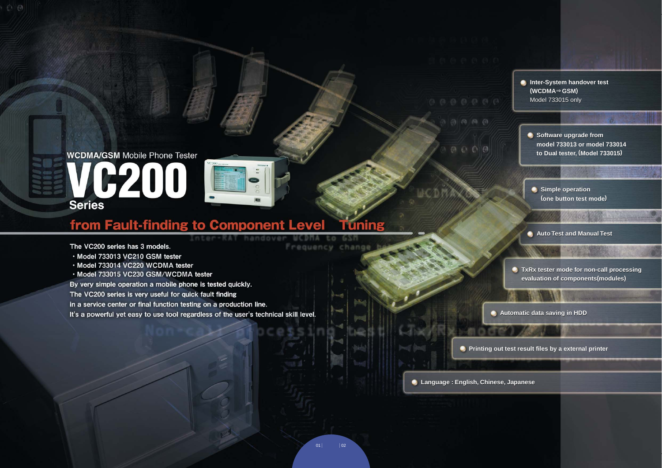# **WCDMA/GSM Mobile Phone Tester** VG200 **Series**

### from Fault-finding to Component Level **Funing**

Inter-RAT handover

The VC200 series has 3 models.

 $\odot$   $\odot$ 

- · Model 733013 VC210 GSM tester
- · Model 733014 VC220 WCDMA tester
- · Model 733015 VC230 GSM/WCDMA tester

By very simple operation a mobile phone is tested quickly.

The VC200 series is very useful for quick fault finding

in a service center or final function testing on a production line.

It's a powerful yet easy to use tool regardless of the user's technical skill level.

 $\circ$   $\circ$   $\circ$   $\circ$ 

**MCDHA to GSM** 

Frequency change

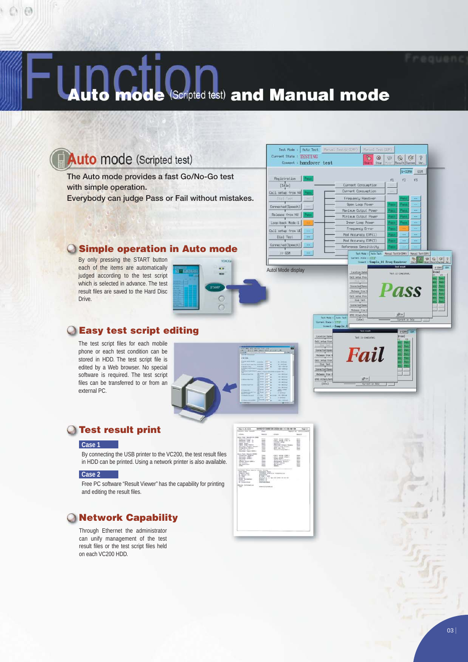## (Scripted test) and Manual mode mode

## **Auto** mode (Scripted test)

 $000$ 

**The Auto mode provides a fast Go/No-Go test with simple operation. Everybody can judge Pass or Fail without mistakes.**

### **Simple operation in Auto mode**

By only pressing the START button each of the items are automatically judged according to the test script which is selected in advance. The test result files are saved to the Hard Disc Drive.



### **Easy test script editing**

The test script files for each mobile phone or each test condition can be stored in HDD. The test script file is edited by a Web browser. No special software is required. The test script files can be transferred to or from an external PC.



### **Test result print**

#### **Case 1**

By connecting the USB printer to the VC200, the test result files in HDD can be printed. Using a network printer is also available.

#### **Case 2**

Free PC software "Result Viewer" has the capability for printing and editing the result files.

### **Network Capability**

Through Ethernet the administrator can unify management of the test result files or the test script files held on each VC200 HDD.



Test Mode : Auto Test

Connent : handover test

Current State : TESTING

Registration | Pass<br>
[Ide]

(Speech)

Call setup from NW

Release from NW

 $\begin{tabular}{|c|c|c|c|} \hline \textit{Locp-back Model} & \textit{\textbf{}} \\ \hline \end{tabular}$ 

Call setup from UE

Dial Test

 $Corrected(Speech)$ 

Connecte



 $\begin{picture}(120,15) \put(0,0){\line(1,0){10}} \put(15,0){\line(1,0){10}} \put(15,0){\line(1,0){10}} \put(15,0){\line(1,0){10}} \put(15,0){\line(1,0){10}} \put(15,0){\line(1,0){10}} \put(15,0){\line(1,0){10}} \put(15,0){\line(1,0){10}} \put(15,0){\line(1,0){10}} \put(15,0){\line(1,0){10}} \put(15,0){\line(1,0){10}} \put(15,0){\line($ 

 $\n **44.4 46.4 65 65 65 65 65 65 65 65 65 65 65 65 65 65 65 65 65 65 65 65 65 65 65 65 65**$ 

 $-43$  $42^{\circ}$  $#1$ 

 $\overline{2}$ 

000000

 $\circledR$ ð

Current Consumption Current Consumption

Frequency Handover Open Loop Pover

Maximum Output, Powe

Minimum Output Por

Inner Loop Powe Frequency Error

Mod Accuracy EVM(1)

Mod Accuracy EVM(2)

Reference Sensitivit

Lecation Up<br>G811 setup fr Girme Call metus 4<br>Dial Tu

**v** 

Le 01 Freq-Han

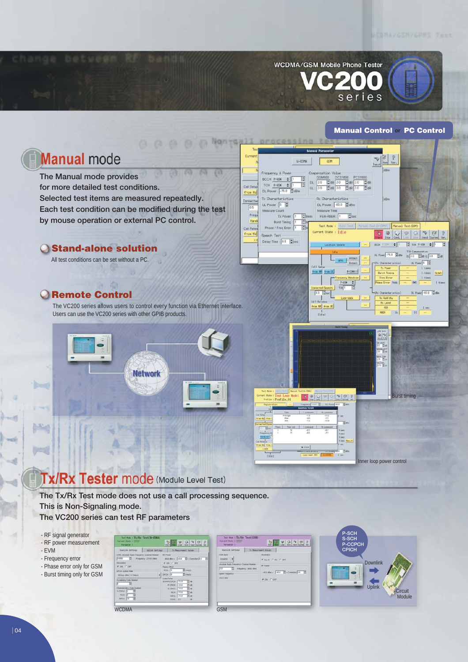

#### **Manual Control or PC Control**



## Tx/Rx Tester mode (Module Level Test)

**The Tx/Rx Test mode does not use a call processing sequence. This is Non-Signaling mode.**

**The VC200 series can test RF parameters**

- RF signal generator
- RF power measurement
- EVM

- Frequency error

- Phase error only for GSM - Burst timing only for GSM

| FORM 19 Frequency PUSAMM     |   |                          |             | 41118x - 411   Canadia (1) |
|------------------------------|---|--------------------------|-------------|----------------------------|
| <b>Modulation</b>            |   | G ON CORP.               |             |                            |
| IF ON IT OFF!                |   | <b>Telera Cittat</b>     |             |                            |
| DPCH Synchritish             |   | PICH-12                  |             | $\frac{1}{n!}$ shoots      |
| 30 km (RAC 10 Deput          | ٠ | DROY: 19                 |             | El mais                    |
| <b>Scrawking Code Humber</b> |   | Cade Power               |             |                            |
| 4 回                          |   | SCHAPCERON FIZE          |             | El air                     |
| Channelstable: Code Humber   |   | <b><i>MORCH LIGH</i></b> |             | 田田                         |
| sonoi 1: 15                  |   | <b>INDPORT 103</b>       |             | El es                      |
|                              |   | POIL 151                 |             | 百面                         |
| Ħ<br>POR IS                  |   |                          | provil 1998 | Ba                         |
| provi-fin<br>頂               |   | GCNS 112.2               |             | ×                          |

| list not : Tx/Rx Test(W-CDMA)<br>Gavern State a VIVE<br>Formation 1                                                                                                                                                                                                                                                                               | $599978$<br>Since the Load Sine   Sout   Surface Sin                                                                                                                                                                                                                                                                                                                                                  | Jest Sun : Tx/Rz Test (GSM)<br>Eureach State & STEEP<br>Furnantsr-1                                                                                                                                       | 50999787<br>Load   Save   band   Saches   We<br>Dist 1                                                                                                                                                                                                                                                                                                                                                      |
|---------------------------------------------------------------------------------------------------------------------------------------------------------------------------------------------------------------------------------------------------------------------------------------------------------------------------------------------------|-------------------------------------------------------------------------------------------------------------------------------------------------------------------------------------------------------------------------------------------------------------------------------------------------------------------------------------------------------------------------------------------------------|-----------------------------------------------------------------------------------------------------------------------------------------------------------------------------------------------------------|-------------------------------------------------------------------------------------------------------------------------------------------------------------------------------------------------------------------------------------------------------------------------------------------------------------------------------------------------------------------------------------------------------------|
| <b>Rowlink Settings</b><br><b>Critical Settleen</b><br>LTRA: Aboolule: Radio Programs/ Channel Number (NF Proces-<br>2 Frequency: 2110 8 MHz<br><b>FORMS</b><br>Michillane:<br>IF OIL IT OFF.<br>DPCH Syncol Italy<br>38 NW PRAC 12 ZMH<br><b>Scrawking Code Humber</b><br>− ⊠<br>Channelsbox Code Humber<br>sono E E<br>Ħ<br>FOR IT<br>provi-fre | 2. Seasywort Salate<br>$-411$ dist $-411$ $\frac{1}{2}$ $\sim$ Canadias $\frac{1}{2}$ 3<br>т<br>a on core<br>Teking Office:<br><b>El steppi</b><br>$P(CH) = 2$<br>El medii<br>DRON: 13<br>Code Power<br>$ z $ av<br>SCHIFTCOFCH<br>77.8<br>TEI ant<br>$-10.8$<br><b><i>KCROH</i></b><br><b>TET us</b><br><b>INFOR</b><br>$-10.8$<br>百曲<br>$-188$<br>POI:<br>間面<br>prosi 148.8<br>GCNS 122<br><b>A</b> | Special Settings<br>To To Numeround Skinson<br><b>LOSS Band</b><br><b>GSMASH IS</b><br>Aboolule Huate Prequesty Channel Number<br>T Frequency (MILTING)<br>126<br><b>Upon Freezoosy</b><br><b>BSAZARM</b> | <b>Matchelon</b><br>WALLS: IT BE IT OFF<br><b>IF Fass!</b><br>$-40.0$ dim $+$ $-40.0$ $\qquad$ $\qquad$ $\qquad$ $\qquad$ $\qquad$ $\qquad$ $\qquad$ $\qquad$ $\qquad$ $\qquad$ $\qquad$ $\qquad$ $\qquad$ $\qquad$ $\qquad$ $\qquad$ $\qquad$ $\qquad$ $\qquad$ $\qquad$ $\qquad$ $\qquad$ $\qquad$ $\qquad$ $\qquad$ $\qquad$ $\qquad$ $\qquad$ $\qquad$ $\qquad$ $\qquad$ $\qquad$ $\qquad$<br>FOIL COFF |
| <b>WCDMA</b>                                                                                                                                                                                                                                                                                                                                      |                                                                                                                                                                                                                                                                                                                                                                                                       | <b>GSM</b>                                                                                                                                                                                                |                                                                                                                                                                                                                                                                                                                                                                                                             |

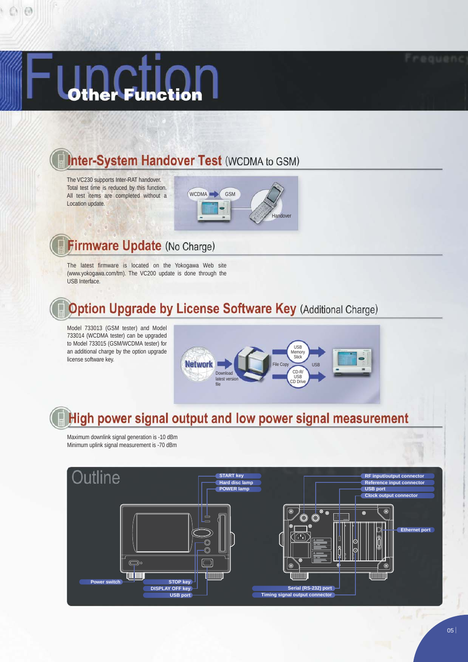$00$ 

## **Inter-System Handover Test (WCDMA to GSM)**

The VC230 supports Inter-RAT handover. Total test time is reduced by this function. All test items are completed without a Location update.



## Firmware Update (No Charge)

The latest firmware is located on the Yokogawa Web site (www.yokogawa.com/tm). The VC200 update is done through the USB Interface.

## **Option Upgrade by License Software Key (Additional Charge)**

Model 733013 (GSM tester) and Model 733014 (WCDMA tester) can be upgraded to Model 733015 (GSM/WCDMA tester) for an additional charge by the option upgrade license software key.



## High power signal output and low power signal measurement

Maximum downlink signal generation is -10 dBm Minimum uplink signal measurement is -70 dBm

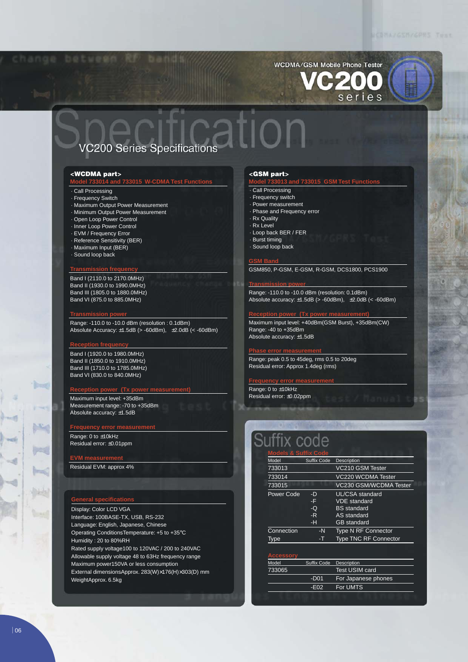## WCDMA/GSM Mobile Phone Tester series

### **VC200 Series Specifications**

#### **<WCDMA part>**

#### **Model 733014 and 733015 W-CDMA Test Functions**

- · Call Processing
- · Frequency Switch
- · Maximum Output Power Measurement
- · Minimum Output Power Measurement
- · Open Loop Power Control
- · Inner Loop Power Control
- · EVM / Frequency Error
- · Reference Sensitivity (BER)
- · Maximum Input (BER) · Sound loop back

### **Transmission frequency**

Band I (2110.0 to 2170.0MHz) Band II (1930.0 to 1990.0MHz) Band III (1805.0 to 1880.0MHz) Band VI (875.0 to 885.0MHz)

#### **Transmission p**

Range: -110.0 to -10.0 dBm (resolution : 0.1dBm) Absolute Accuracy:  $\pm 1.5$ dB (> -60dBm),  $\pm 2.0$ dB (< -60dBm)

#### **Reception frequency**

**Dest** 

 $\sim$ 

Band I (1920.0 to 1980.0MHz) Band II (1850.0 to 1910.0MHz) Band III (1710.0 to 1785.0MHz) Band VI (830.0 to 840.0MHz)

#### **Reception power (Tx power measurement)**

Maximum input level: +35dBm Measurement range: -70 to +35dBm Absolute accuracy: ±1.5dB

#### **Frequency error measurement**

Range: 0 to ±10kHz Residual error: ±0.01ppm

Residual EVM: approx 4%

### **General specifications**

Display: Color LCD VGA Interface: 100BASE-TX, USB, RS-232 Language: English, Japanese, Chinese Operating ConditionsTemperature: +5 to +35°C Humidity : 20 to 80%RH Rated supply voltage100 to 120VAC / 200 to 240VAC Allowable supply voltage 48 to 63Hz frequency range Maximum power150VA or less consumption External dimensionsApprox. 283(W)×176(H)×303(D) mm WeightApprox. 6.5kg

#### **<GSM part>**

#### **Model 733013 and 733015 GSM Test Functions**

- · Call Processing
- · Frequency switch
- · Power measurement
- · Phase and Frequency error
- · Rx Quality
- · Rx Level
- · Loop back BER / FER
- · Burst timing
- 
- · Sound loop back

#### **GSM Band**

GSM850, P-GSM, E-GSM, R-GSM, DCS1800, PCS1900

#### **Transmission power**

Range: -110.0 to -10.0 dBm (resolution: 0.1dBm) Absolute accuracy:  $\pm 1.5$ dB (> -60dBm),  $\pm 2.0$ dB (< -60dBm)

#### **COLOGITY**

Maximum input level: +40dBm(GSM Burst), +35dBm(CW) Range: -40 to +35dBm Absolute accuracy: ±1.5dB

#### **Phase error measurement**

Range: peak 0.5 to 45deg, rms 0.5 to 20deg Residual error: Approx 1.4deg (rms)

#### **Frequency error measurement**

Range: 0 to ±10kHz Residual error: ±0.02ppm

| <b>Models &amp; Suffix Code</b> |                    |                              |
|---------------------------------|--------------------|------------------------------|
| Model                           | <b>Suffix Code</b> | Description                  |
| 733013                          |                    | VC210 GSM Tester             |
| 733014                          |                    | VC220 WCDMA Tester           |
| 733015                          |                    | VC230 GSM/WCDMA Tester       |
| Power Code                      | -D                 | UL/CSA standard              |
|                                 | -F                 | <b>VDE</b> standard          |
|                                 | -Q                 | <b>BS</b> standard           |
|                                 | -R                 | AS standard                  |
|                                 | -н                 | <b>GB</b> standard           |
| Connection                      | -N                 | <b>Type N RF Connector</b>   |
| Type                            | -T                 | <b>Type TNC RF Connector</b> |

| Model  | Suffix Code      | Description           |
|--------|------------------|-----------------------|
| 733065 |                  | <b>Test USIM card</b> |
|        | -D <sub>01</sub> | For Japanese phones   |
|        | $-F02$           | For UMTS              |
|        |                  |                       |